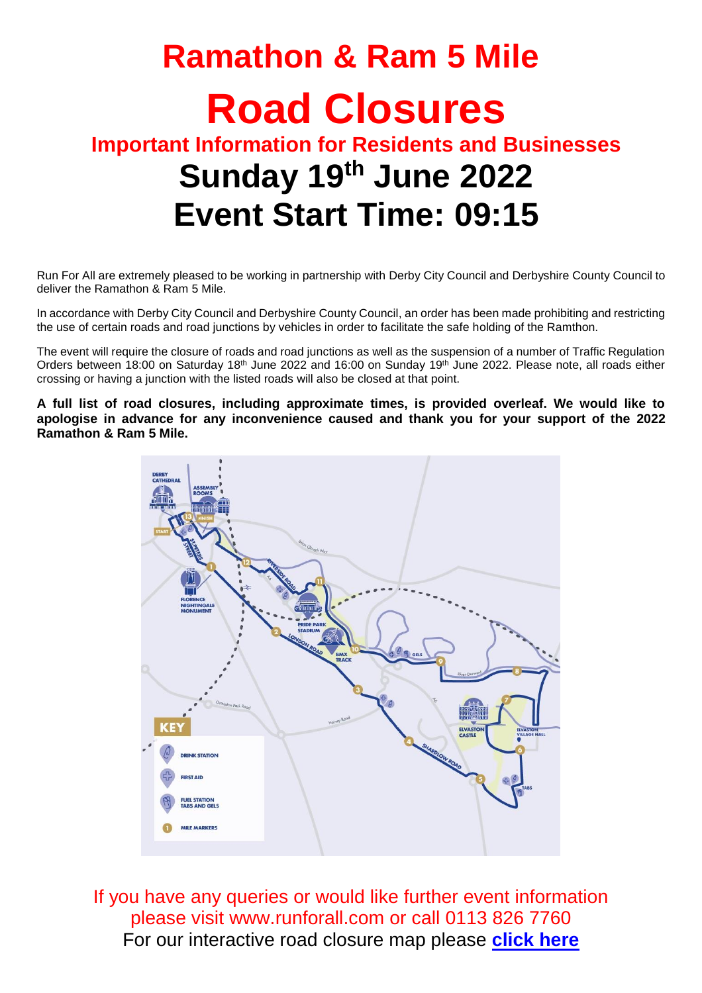# **Ramathon & Ram 5 Mile Road Closures Important Information for Residents and Businesses Sunday 19th June 2022 Event Start Time: 09:15**

Run For All are extremely pleased to be working in partnership with Derby City Council and Derbyshire County Council to deliver the Ramathon & Ram 5 Mile.

In accordance with Derby City Council and Derbyshire County Council, an order has been made prohibiting and restricting the use of certain roads and road junctions by vehicles in order to facilitate the safe holding of the Ramthon.

The event will require the closure of roads and road junctions as well as the suspension of a number of Traffic Regulation Orders between 18:00 on Saturday 18<sup>th</sup> June 2022 and 16:00 on Sunday 19<sup>th</sup> June 2022. Please note, all roads either crossing or having a junction with the listed roads will also be closed at that point.

**A full list of road closures, including approximate times, is provided overleaf. We would like to apologise in advance for any inconvenience caused and thank you for your support of the 2022 Ramathon & Ram 5 Mile.**



If you have any queries or would like further event information please visit [www.runforall.com](http://www.runforall.com/) or call 0113 826 7760 For our interactive road closure map please **[click here](https://www.google.com/maps/d/edit?mid=1YocoYPZ4_EcJ5TpdJi4aLT-K-F2ltW9l&usp=sharing)**